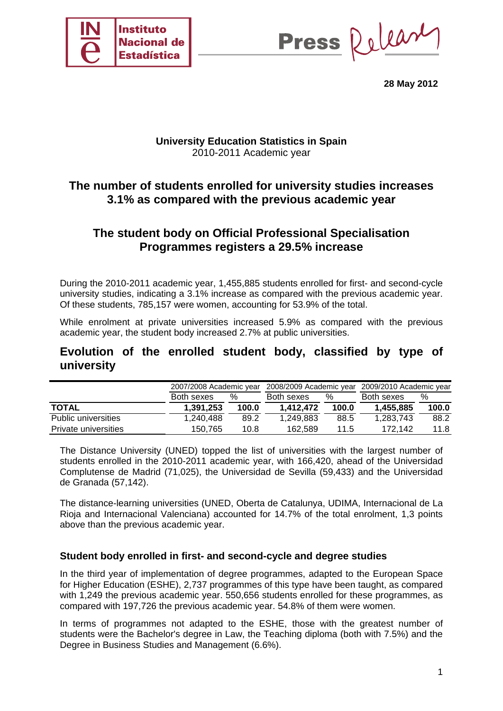

Press Release

**28 May 2012** 

## **University Education Statistics in Spain**  2010-2011 Academic year

# **The number of students enrolled for university studies increases 3.1% as compared with the previous academic year**

# **The student body on Official Professional Specialisation Programmes registers a 29.5% increase**

During the 2010-2011 academic year, 1,455,885 students enrolled for first- and second-cycle university studies, indicating a 3.1% increase as compared with the previous academic year. Of these students, 785,157 were women, accounting for 53.9% of the total.

While enrolment at private universities increased 5.9% as compared with the previous academic year, the student body increased 2.7% at public universities.

## **Evolution of the enrolled student body, classified by type of university**

|                            | 2007/2008 Academic year |       | 2008/2009 Academic year |       | 2009/2010 Academic year |       |
|----------------------------|-------------------------|-------|-------------------------|-------|-------------------------|-------|
|                            | Both sexes              | %     | Both sexes              | $\%$  | Both sexes              | %     |
| <b>TOTAL</b>               | 1,391,253               | 100.0 | 1,412,472               | 100.0 | 1,455,885               | 100.0 |
| <b>Public universities</b> | 1.240.488               | 89.2  | 1,249,883               | 88.5  | 1,283,743               | 88.2  |
| Private universities       | 150.765                 | 10.8  | 162.589                 | 11.5  | 172.142                 | 11.8  |

The Distance University (UNED) topped the list of universities with the largest number of students enrolled in the 2010-2011 academic year, with 166,420, ahead of the Universidad Complutense de Madrid (71,025), the Universidad de Sevilla (59,433) and the Universidad de Granada (57,142).

The distance-learning universities (UNED, Oberta de Catalunya, UDIMA, Internacional de La Rioja and Internacional Valenciana) accounted for 14.7% of the total enrolment, 1,3 points above than the previous academic year.

### **Student body enrolled in first- and second-cycle and degree studies**

In the third year of implementation of degree programmes, adapted to the European Space for Higher Education (ESHE), 2,737 programmes of this type have been taught, as compared with 1,249 the previous academic year. 550,656 students enrolled for these programmes, as compared with 197,726 the previous academic year. 54.8% of them were women.

In terms of programmes not adapted to the ESHE, those with the greatest number of students were the Bachelor's degree in Law, the Teaching diploma (both with 7.5%) and the Degree in Business Studies and Management (6.6%).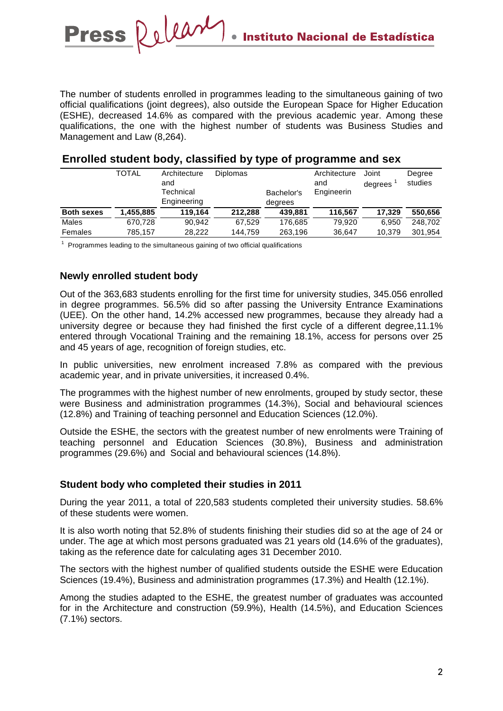The number of students enrolled in programmes leading to the simultaneous gaining of two official qualifications (joint degrees), also outside the European Space for Higher Education (ESHE), decreased 14.6% as compared with the previous academic year. Among these qualifications, the one with the highest number of students was Business Studies and Management and Law (8,264).

|                   | <b>TOTAL</b> | Architecture<br>and | <b>Diplomas</b> |            | Architecture<br>and | Joint<br>degrees | Degree<br>studies |
|-------------------|--------------|---------------------|-----------------|------------|---------------------|------------------|-------------------|
|                   |              | Technical           |                 | Bachelor's | Engineerin          |                  |                   |
|                   |              | Engineering         |                 | degrees    |                     |                  |                   |
| <b>Both sexes</b> | 1.455.885    | 119.164             | 212.288         | 439.881    | 116.567             | 17.329           | 550.656           |
| Males             | 670.728      | 90.942              | 67.529          | 176.685    | 79.920              | 6.950            | 248.702           |
| Females           | 785,157      | 28.222              | 144.759         | 263,196    | 36.647              | 10.379           | 301,954           |
|                   |              |                     |                 |            |                     |                  |                   |

### **Enrolled student body, classified by type of programme and sex**

<sup>1</sup> Programmes leading to the simultaneous gaining of two official qualifications

### **Newly enrolled student body**

Out of the 363,683 students enrolling for the first time for university studies, 345.056 enrolled in degree programmes. 56.5% did so after passing the University Entrance Examinations (UEE). On the other hand, 14.2% accessed new programmes, because they already had a university degree or because they had finished the first cycle of a different degree,11.1% entered through Vocational Training and the remaining 18.1%, access for persons over 25 and 45 years of age, recognition of foreign studies, etc.

In public universities, new enrolment increased 7.8% as compared with the previous academic year, and in private universities, it increased 0.4%.

The programmes with the highest number of new enrolments, grouped by study sector, these were Business and administration programmes (14.3%), Social and behavioural sciences (12.8%) and Training of teaching personnel and Education Sciences (12.0%).

Outside the ESHE, the sectors with the greatest number of new enrolments were Training of teaching personnel and Education Sciences (30.8%), Business and administration programmes (29.6%) and Social and behavioural sciences (14.8%).

### **Student body who completed their studies in 2011**

During the year 2011, a total of 220,583 students completed their university studies. 58.6% of these students were women.

It is also worth noting that 52.8% of students finishing their studies did so at the age of 24 or under. The age at which most persons graduated was 21 years old (14.6% of the graduates), taking as the reference date for calculating ages 31 December 2010.

The sectors with the highest number of qualified students outside the ESHE were Education Sciences (19.4%), Business and administration programmes (17.3%) and Health (12.1%).

Among the studies adapted to the ESHE, the greatest number of graduates was accounted for in the Architecture and construction (59.9%), Health (14.5%), and Education Sciences (7.1%) sectors.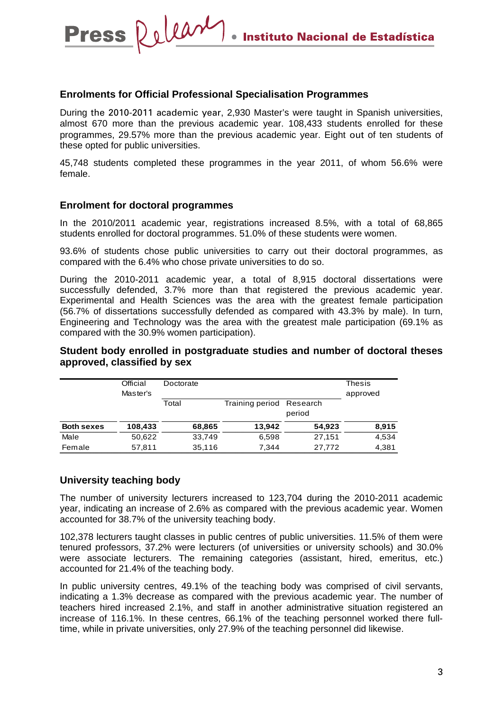#### **Enrolments for Official Professional Specialisation Programmes**

During the 2010-2011 academic year, 2,930 Master's were taught in Spanish universities, almost 670 more than the previous academic year. 108,433 students enrolled for these programmes, 29.57% more than the previous academic year. Eight out of ten students of these opted for public universities.

45,748 students completed these programmes in the year 2011, of whom 56.6% were female.

#### **Enrolment for doctoral programmes**

Press Release

In the 2010/2011 academic year, registrations increased 8.5%, with a total of 68,865 students enrolled for doctoral programmes. 51.0% of these students were women.

93.6% of students chose public universities to carry out their doctoral programmes, as compared with the 6.4% who chose private universities to do so.

During the 2010-2011 academic year, a total of 8,915 doctoral dissertations were successfully defended, 3.7% more than that registered the previous academic year. Experimental and Health Sciences was the area with the greatest female participation (56.7% of dissertations successfully defended as compared with 43.3% by male). In turn, Engineering and Technology was the area with the greatest male participation (69.1% as compared with the 30.9% women participation).

**Student body enrolled in postgraduate studies and number of doctoral theses approved, classified by sex** 

|                   | Official<br>Master's | Doctorate | <b>Thesis</b><br>approved |                    |       |
|-------------------|----------------------|-----------|---------------------------|--------------------|-------|
|                   |                      | Total     | Training period           | Research<br>period |       |
| <b>Both sexes</b> | 108,433              | 68,865    | 13.942                    | 54.923             | 8,915 |
| Male              | 50,622               | 33,749    | 6,598                     | 27,151             | 4,534 |
| Female            | 57,811               | 35,116    | 7.344                     | 27,772             | 4,381 |

#### **University teaching body**

The number of university lecturers increased to 123,704 during the 2010-2011 academic year, indicating an increase of 2.6% as compared with the previous academic year. Women accounted for 38.7% of the university teaching body.

102,378 lecturers taught classes in public centres of public universities. 11.5% of them were tenured professors, 37.2% were lecturers (of universities or university schools) and 30.0% were associate lecturers. The remaining categories (assistant, hired, emeritus, etc.) accounted for 21.4% of the teaching body.

In public university centres, 49.1% of the teaching body was comprised of civil servants, indicating a 1.3% decrease as compared with the previous academic year. The number of teachers hired increased 2.1%, and staff in another administrative situation registered an increase of 116.1%. In these centres, 66.1% of the teaching personnel worked there fulltime, while in private universities, only 27.9% of the teaching personnel did likewise.